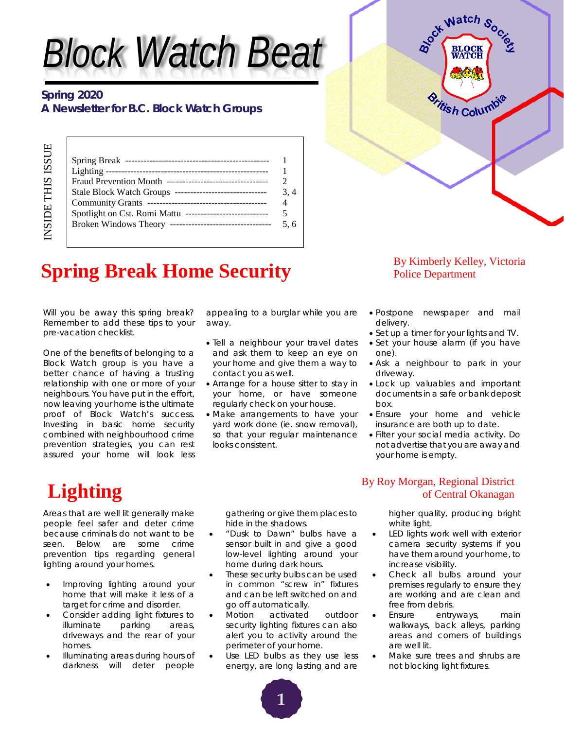# *Block Watch Beat*

### **Spring 2020 A Newsletter for B.C. Block Watch Groups**

| Lighting $---$                                                |  |
|---------------------------------------------------------------|--|
| Fraud Prevention Month ---------------------------------      |  |
|                                                               |  |
|                                                               |  |
| Spotlight on Cst. Romi Mattu<br>_____________________________ |  |
|                                                               |  |
|                                                               |  |
|                                                               |  |



## **Spring Break Home Security** By Kimberly Kelley, Victoria Police Department

Will you be away this spring break? Remember to add these tips to your pre-vacation checklist.

One of the benefits of belonging to a Block Watch group is you have a better chance of having a trusting relationship with one or more of your neighbours. You have put in the effort, now leaving your home is the ultimate proof of Block Watch's success. Investing in basic home security combined with neighbourhood crime prevention strategies, you can rest assured your home will look less

appealing to a burglar while you are away.

- Tell a neighbour your travel dates and ask them to keep an eye on your home and give them a way to contact you as well.
- Arrange for a house sitter to stay in your home, or have someone regularly check on your house.
- Make arrangements to have your yard work done (ie. snow removal), so that your regular maintenance looks consistent.

### Police Department

- Postpone newspaper and mail delivery.
- Set up a timer for your lights and TV.
- Set your house alarm (if you have one).
- Ask a neighbour to park in your driveway.
- Lock up valuables and important documents in a safe or bank deposit box.
- Ensure your home and vehicle insurance are both up to date.
- Filter your social media activity. Do not advertise that you are away and your home is empty.

INSIDE THIS ISSUE

**NSIDE THIS ISSUE** 

Areas that are well lit generally make people feel safer and deter crime because criminals do not want to be seen. Below are some crime prevention tips regarding general lighting around your homes.

- Improving lighting around your home that will make it less of a target for crime and disorder.
- Consider adding light fixtures to illuminate parking areas, driveways and the rear of your homes.
- Illuminating areas during hours of darkness will deter people

gathering or give them places to hide in the shadows.

- "Dusk to Dawn" bulbs have a sensor built in and give a good low-level lighting around your home during dark hours.
- These security bulbs can be used in common "screw in" fixtures and can be left switched on and go off automatically.
- Motion activated outdoor security lighting fixtures can also alert you to activity around the perimeter of your home.
- Use LED bulbs as they use less energy, are long lasting and are

### **Lighting** By Roy Morgan, Regional District By Roy Morgan, Regional District of Central Okanagan of Central Okanagan

higher quality, producing bright white light.

- LED lights work well with exterior camera security systems if you have them around your home, to increase visibility.
- Check all bulbs around your premises regularly to ensure they are working and are clean and free from debris.
- Ensure entryways, main walkways, back alleys, parking areas and corners of buildings are well lit.
- Make sure trees and shrubs are not blocking light fixtures.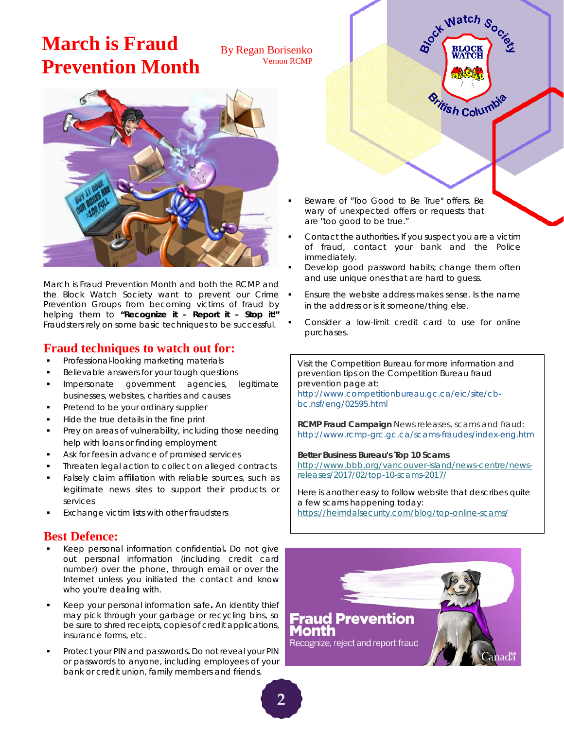### **March is Fraud Prevention Month**

By Regan Borisenko Vernon RCMP



*March is Fraud Prevention Month and both the RCMP and the Block Watch Society want to prevent our Crime Prevention Groups from becoming victims of fraud by helping them to "Recognize it – Report it – Stop it!" Fraudsters rely on some basic techniques to be successful.*

### **Fraud techniques to watch out for:**

- Professional-looking marketing materials
- Believable answers for your tough questions
- Impersonate government agencies, legitimate businesses, websites, charities and causes
- Pretend to be your ordinary supplier
- Hide the true details in the fine print
- Prey on areas of vulnerability, including those needing help with loans or finding employment
- Ask for fees in advance of promised services
- Threaten legal action to collect on alleged contracts
- Falsely claim affiliation with reliable sources, such as legitimate news sites to support their products or services
- Exchange victim lists with other fraudsters

### **Best Defence:**

- Keep personal information confidential**.** Do not give out personal information (including credit card number) over the phone, through email or over the Internet unless you initiated the contact and know who you're dealing with.
- Keep your personal information safe**.** An identity thief may pick through your garbage or recycling bins, so be sure to shred receipts, copies of credit applications, insurance forms, etc.
- Protect your PIN and passwords**.** Do not reveal your PIN or passwords to anyone, including employees of your bank or credit union, family members and friends.



- Beware of "Too Good to Be True" offers. Be wary of unexpected offers or requests that are "too good to be true."
- Contact the authorities**.** If you suspect you are a victim of fraud, contact your bank and the Police immediately.
- Develop good password habits; change them often and use unique ones that are hard to guess.
- Ensure the website address makes sense. Is the name in the address or is it someone/thing else.
- Consider a low-limit credit card to use for online purchases.

Visit the Competition Bureau for more information and prevention tips on the Competition Bureau fraud prevention page at:

[http://www.competitionbureau.gc.ca/eic/site/cb](http://www.competitionbureau.gc.ca/eic/site/cb-bc.nsf/eng/h_00122.html)[bc.nsf/eng/02595.html](http://www.competitionbureau.gc.ca/eic/site/cb-bc.nsf/eng/h_00122.html)

**RCMP Fraud Campaign** News releases, scams and fraud: <http://www.rcmp-grc.gc.ca/scams-fraudes/index-eng.htm>

**Better Business Bureau's Top 10 Scams** [http://www.bbb.org/vancouver-island/news-centre/news](http://www.bbb.org/vancouver-island/news-centre/news-releases/2017/02/top-10-scams-2017/)[releases/2017/02/top-10-scams-2017/](http://www.bbb.org/vancouver-island/news-centre/news-releases/2017/02/top-10-scams-2017/)

Here is another easy to follow website that describes quite a few scams happening today: <https://heimdalsecurity.com/blog/top-online-scams/>

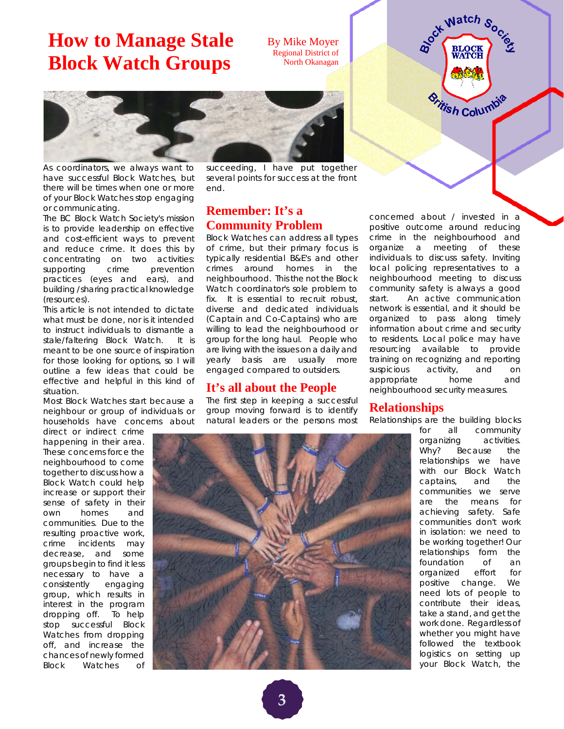### **How to Manage Stale Block Watch Groups**

By Mike Moyer Regional District of North Okanagan



As coordinators, we always want to have successful Block Watches, but there will be times when one or more of your Block Watches stop engaging or communicating.

The BC Block Watch Society's mission is to provide leadership on effective and cost-efficient ways to prevent and reduce crime. It does this by concentrating on two activities: supporting crime prevention practices (eyes and ears), and building /sharing practical knowledge (resources).

This article is not intended to dictate what must be done, nor is it intended to instruct individuals to dismantle a stale/faltering Block Watch. It is meant to be one source of inspiration for those looking for options, so I will outline a few ideas that could be effective and helpful in this kind of situation.

Most Block Watches start because a neighbour or group of individuals or households have concerns about

direct or indirect crime happening in their area. These concerns force the neighbourhood to come together to discuss how a Block Watch could help increase or support their sense of safety in their own homes and communities. Due to the resulting proactive work, crime incidents may decrease, and some groups begin to find it less necessary to have a consistently engaging group, which results in interest in the program dropping off. To help stop successful Block Watches from dropping off, and increase the chances of newly formed Block Watches of

succeeding, I have put together several points for success at the front end.

### **Remember: It's a Community Problem**

Block Watches can address all types of crime, but their primary focus is typically residential B&E's and other crimes around homes in the neighbourhood. This the not the Block Watch coordinator's sole problem to fix. It is essential to recruit robust, diverse and dedicated individuals (Captain and Co-Captains) who are willing to lead the neighbourhood or group for the long haul. People who are living with the issues on a daily and yearly basis are usually more engaged compared to outsiders.

#### **It's all about the People**

The first step in keeping a successful group moving forward is to identify natural leaders or the persons most

concerned about / invested in a positive outcome around reducing crime in the neighbourhood and organize a meeting of these individuals to discuss safety. Inviting local policing representatives to a neighbourhood meeting to discuss community safety is always a good start. An active communication network is essential, and it should be organized to pass along timely information about crime and security to residents. Local police may have resourcing available to provide training on recognizing and reporting suspicious activity, and on appropriate home and neighbourhood security measures.

BLOCK BLOCK

*<u><sup>Sritish Columbia</u>*</u></sup>

#### **Relationships**

Relationships are the building blocks

for all community



organizing activities. Why? Because the relationships we have with our Block Watch captains, and the communities we serve are the means for achieving safety. Safe communities don't work in isolation: we need to be working together! Our relationships form the foundation of an organized effort for positive change. We need lots of people to contribute their ideas, take a stand, and get the work done. Regardless of whether you might have followed the textbook logistics on setting up your Block Watch, the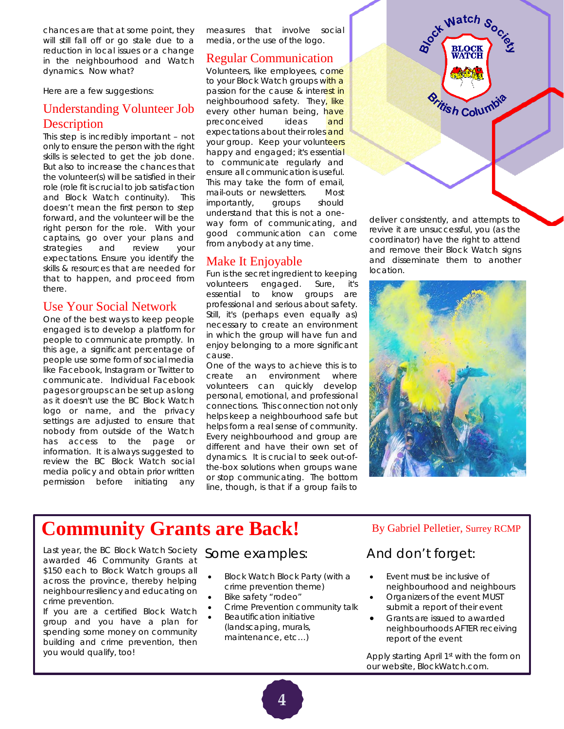chances are that at some point, they will still fall off or go stale due to a reduction in local issues or a change in the neighbourhood and Watch dynamics. Now what?

Here are a few suggestions:

### Understanding Volunteer Job **Description**

This step is incredibly important – not only to ensure the person with the right skills is selected to get the job done. But also to increase the chances that the volunteer(s) will be satisfied in their role (role fit is crucial to job satisfaction and Block Watch continuity). This doesn't mean the first person to step forward, and the volunteer will be the right person for the role. With your captains, go over your plans and strategies and review your expectations. Ensure you identify the skills & resources that are needed for that to happen, and proceed from there.

#### Use Your Social Network

One of the best ways to keep people engaged is to develop a platform for people to communicate promptly. In this age, a significant percentage of people use some form of social media like Facebook, Instagram or Twitter to communicate. Individual Facebook pages or groups can be set up as long as it doesn't use the BC Block Watch logo or name, and the privacy settings are adjusted to ensure that nobody from outside of the Watch has access to the page or information. It is always suggested to review the BC Block Watch social media policy and obtain prior written permission before initiating any

measures that involve social media, or the use of the logo.

#### Regular Communication

Volunteers, like employees, come to your Block Watch groups with a passion for the cause & interest in neighbourhood safety. They, like every other human being, have preconceived ideas and expectations about their roles and your group. Keep your volunteers happy and engaged; it's essential to communicate regularly and ensure all communication is useful. This may take the form of email, mail-outs or newsletters. Most importantly, groups should understand that this is not a oneway form of communicating, and good communication can come from anybody at any time.

### Make It Enjoyable

Fun is the secret ingredient to keeping volunteers engaged. Sure, essential to know groups are professional and serious about safety. Still, it's (perhaps even equally as) necessary to create an environment in which the group will have fun and enjoy belonging to a more significant cause.

One of the ways to achieve this is to create an environment where volunteers can quickly develop personal, emotional, and professional connections. This connection not only helps keep a neighbourhood safe but helps form a real sense of community. Every neighbourhood and group are different and have their own set of dynamics. It is crucial to seek out-ofthe-box solutions when groups wane or stop communicating. The bottom line, though, is that if a group fails to

deliver consistently, and attempts to revive it are unsuccessful, you (as the coordinator) have the right to attend and remove their Block Watch signs and disseminate them to another location.

BLOCK Watch Sock

**WATCH** 

*<u><i><u>Sritish Columbia</u>*</u>



### **Community Grants are Back!** By Gabriel Pelletier, Surrey RCMP

Last year, the BC Block Watch Society awarded 46 Community Grants at \$150 each to Block Watch groups all across the province, thereby helping neighbour resiliency and educating on crime prevention.

If you are a certified Block Watch group and you have a plan for spending some money on community building and crime prevention, then you would qualify, too!

### Some examples:

- Block Watch Block Party (with a crime prevention theme)
- Bike safety "rodeo"
- Crime Prevention community talk
	- Beautification initiative (landscaping, murals, maintenance, etc…)

### And don't forget:

- Event must be inclusive of neighbourhood and neighbours
- Organizers of the event MUST submit a report of their event
- Grants are issued to awarded neighbourhoods AFTER receiving report of the event

Apply starting April 1<sup>st</sup> with the form on our website, BlockWatch.com.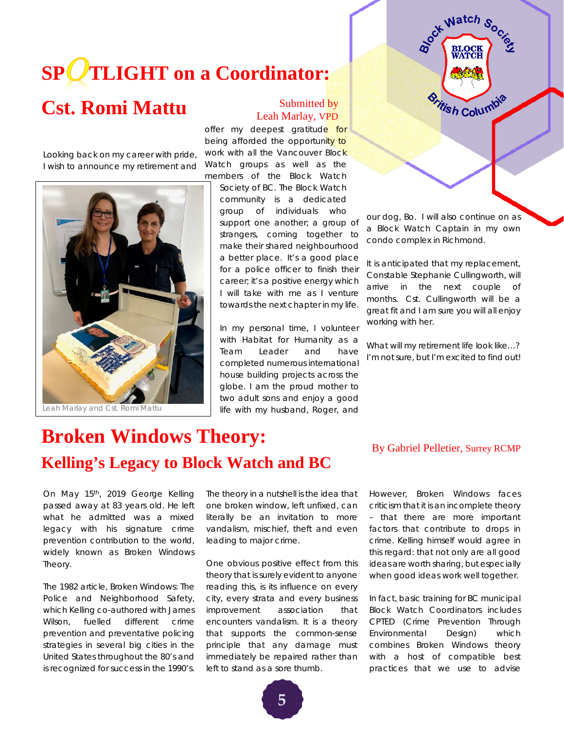# **SP TLIGHT on a Coordinator:**

### Cst. Romi Mattu Submitted by

Looking back on my career with pride, I wish to announce my retirement and



Leah Marlay and Cst. Romi Mattu

### Leah Marlay, VPD

offer my deepest gratitude for being afforded the opportunity to work with all the Vancouver Block Watch groups as well as the members of the Block Watch

Society of BC. The Block Watch community is a dedicated group of individuals who support one another; a group of strangers, coming together to make their shared neighbourhood a better place. It's a good place for a police officer to finish their career; it's a positive energy which I will take with me as I venture towards the next chapter in my life.

In my personal time, I volunteer with Habitat for Humanity as a Team Leader and have completed numerous international house building projects across the globe. I am the proud mother to two adult sons and enjoy a good life with my husband, Roger, and our dog, Bo. I will also continue on as a Block Watch Captain in my own condo complex in Richmond.

BLOCK BLOCK

*<u><i><u>Sritish Columbia</u>*</u>

It is anticipated that my replacement, Constable Stephanie Cullingworth, will arrive in the next couple of months. Cst. Cullingworth will be a great fit and I am sure you will all enjoy working with her.

What will my retirement life look like...? I'm not sure, but I'm excited to find out!

### **Broken Windows Theory: Kelling's Legacy to Block Watch and BC**

#### On May 15<sup>th</sup>, 2019 George Kelling passed away at 83 years old. He left what he admitted was a mixed legacy with his signature crime prevention contribution to the world, widely known as Broken Windows Theory.

The 1982 article, *Broken Windows: The Police and Neighborhood Safety*, which Kelling co-authored with James Wilson, fuelled different crime prevention and preventative policing strategies in several big cities in the United States throughout the 80's and is recognized for success in the 1990's.

The theory in a nutshell is the idea that one broken window, left unfixed, can literally be an invitation to more vandalism, mischief, theft and even leading to major crime.

One obvious positive effect from this theory that is surely evident to anyone reading this, is its influence on every city, every strata and every business improvement association that encounters vandalism. It is a theory that supports the common-sense principle that any damage must immediately be repaired rather than left to stand as a sore thumb.

However, Broken Windows faces criticism that it is an incomplete theory – that there are more important factors that contribute to drops in crime. Kelling himself would agree in this regard: that not only are all good ideas are worth sharing, but especially when good ideas work well together.

By Gabriel Pelletier, Surrey RCMP

In fact, basic training for BC municipal Block Watch Coordinators includes CPTED (Crime Prevention Through Environmental Design) which combines Broken Windows theory with a host of compatible best practices that we use to advise